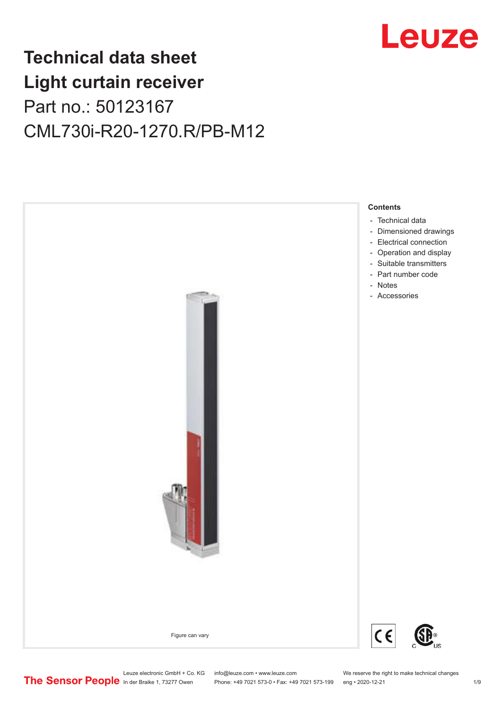

## **Technical data sheet Light curtain receiver** Part no.: 50123167 CML730i-R20-1270.R/PB-M12



Leuze electronic GmbH + Co. KG info@leuze.com • www.leuze.com We reserve the right to make technical changes<br>
The Sensor People in der Braike 1, 73277 Owen Phone: +49 7021 573-0 • Fax: +49 7021 573-199 eng • 2020-12-21

Phone: +49 7021 573-0 • Fax: +49 7021 573-199 eng • 2020-12-21 1 2020-12-21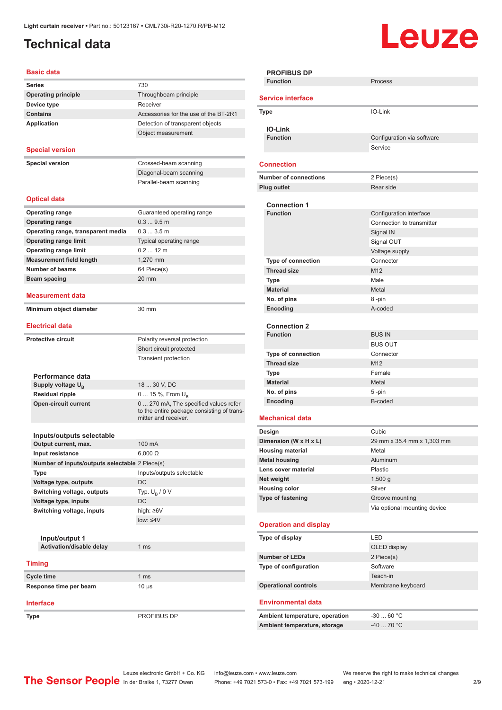### <span id="page-1-0"></span>**Technical data**

# Leuze

| Basic data                                     |                                                               |
|------------------------------------------------|---------------------------------------------------------------|
| <b>Series</b>                                  | 730                                                           |
| <b>Operating principle</b>                     | Throughbeam principle                                         |
| Device type                                    | Receiver                                                      |
| <b>Contains</b>                                | Accessories for the use of the BT-2R1                         |
| <b>Application</b>                             | Detection of transparent objects                              |
|                                                | Object measurement                                            |
|                                                |                                                               |
| <b>Special version</b>                         |                                                               |
| <b>Special version</b>                         | Crossed-beam scanning                                         |
|                                                | Diagonal-beam scanning                                        |
|                                                | Parallel-beam scanning                                        |
|                                                |                                                               |
| <b>Optical data</b>                            |                                                               |
| <b>Operating range</b>                         | Guaranteed operating range                                    |
| <b>Operating range</b>                         | 0.39.5m                                                       |
| Operating range, transparent media             | 0.33.5m                                                       |
| <b>Operating range limit</b>                   | Typical operating range                                       |
| <b>Operating range limit</b>                   | $0.212$ m                                                     |
| <b>Measurement field length</b>                | 1,270 mm                                                      |
| <b>Number of beams</b>                         | 64 Piece(s)                                                   |
| Beam spacing                                   | 20 mm                                                         |
| Measurement data                               |                                                               |
| Minimum object diameter                        | 30 mm                                                         |
| <b>Electrical data</b>                         |                                                               |
| <b>Protective circuit</b>                      | Polarity reversal protection                                  |
|                                                | Short circuit protected                                       |
|                                                | <b>Transient protection</b>                                   |
|                                                |                                                               |
|                                                |                                                               |
| Performance data                               |                                                               |
| Supply voltage U <sub>B</sub>                  | 18  30 V, DC                                                  |
| <b>Residual ripple</b>                         | 0  15 %, From $U_{\rm B}$                                     |
| <b>Open-circuit current</b>                    | 0  270 mA, The specified values refer<br>mitter and receiver. |
|                                                |                                                               |
| Inputs/outputs selectable                      |                                                               |
| Output current, max.                           | 100 mA                                                        |
| Input resistance                               | $6,000 \Omega$                                                |
| Number of inputs/outputs selectable 2 Piece(s) |                                                               |
| Type                                           | Inputs/outputs selectable                                     |
| Voltage type, outputs                          | DC                                                            |
| Switching voltage, outputs                     | Typ. $U_B / 0 V$                                              |
| Voltage type, inputs                           | DC                                                            |
| Switching voltage, inputs                      | high: ≥6V                                                     |
|                                                | $low: 4V$                                                     |
|                                                |                                                               |
| Input/output 1                                 |                                                               |
| Activation/disable delay                       | 1 ms                                                          |
| <b>Timing</b>                                  | to the entire package consisting of trans-                    |
| Cycle time                                     | 1 ms                                                          |
| Response time per beam                         | $10 \mu s$                                                    |

|                              | <b>PROFIBUS DP</b><br><b>Function</b> | Process                      |  |  |
|------------------------------|---------------------------------------|------------------------------|--|--|
|                              |                                       |                              |  |  |
| <b>Service interface</b>     |                                       |                              |  |  |
|                              | <b>Type</b>                           | IO-Link                      |  |  |
|                              | <b>IO-Link</b>                        |                              |  |  |
|                              | <b>Function</b>                       | Configuration via software   |  |  |
|                              |                                       | Service                      |  |  |
|                              | <b>Connection</b>                     |                              |  |  |
| <b>Number of connections</b> |                                       | 2 Piece(s)                   |  |  |
|                              | <b>Plug outlet</b>                    | Rear side                    |  |  |
|                              |                                       |                              |  |  |
|                              | <b>Connection 1</b>                   |                              |  |  |
|                              | <b>Function</b>                       | Configuration interface      |  |  |
|                              |                                       | Connection to transmitter    |  |  |
|                              |                                       | Signal IN                    |  |  |
|                              |                                       | Signal OUT<br>Voltage supply |  |  |
|                              | <b>Type of connection</b>             | Connector                    |  |  |
|                              | <b>Thread size</b>                    | M <sub>12</sub>              |  |  |
|                              | Type                                  | Male                         |  |  |
|                              | <b>Material</b>                       | Metal                        |  |  |
|                              | No. of pins                           | 8-pin                        |  |  |
|                              | Encoding                              | A-coded                      |  |  |
|                              |                                       |                              |  |  |
|                              | <b>Connection 2</b>                   |                              |  |  |
|                              | <b>Function</b>                       | <b>BUS IN</b>                |  |  |
|                              |                                       | <b>BUS OUT</b>               |  |  |
|                              | <b>Type of connection</b>             | Connector                    |  |  |
|                              | <b>Thread size</b>                    | M <sub>12</sub>              |  |  |
|                              | Type                                  | Female                       |  |  |
|                              | <b>Material</b>                       | Metal                        |  |  |
|                              |                                       |                              |  |  |
|                              | No. of pins                           | 5-pin                        |  |  |
|                              | Encoding                              | B-coded                      |  |  |
|                              | <b>Mechanical data</b>                |                              |  |  |
|                              | Design                                | Cubic                        |  |  |
|                              | Dimension (W x H x L)                 | 29 mm x 35.4 mm x 1,303 mm   |  |  |
|                              | <b>Housing material</b>               | Metal                        |  |  |
|                              | <b>Metal housing</b>                  | Aluminum                     |  |  |
|                              | Lens cover material                   | Plastic                      |  |  |
|                              | Net weight                            | 1,500 g                      |  |  |
|                              | <b>Housing color</b>                  | Silver                       |  |  |
|                              | Type of fastening                     | Groove mounting              |  |  |
|                              |                                       | Via optional mounting device |  |  |
|                              | <b>Operation and display</b>          |                              |  |  |
|                              | Type of display                       | LED                          |  |  |
|                              |                                       | OLED display                 |  |  |
|                              | <b>Number of LEDs</b>                 | 2 Piece(s)                   |  |  |
|                              | Type of configuration                 | Software                     |  |  |
|                              |                                       | Teach-in                     |  |  |
|                              | <b>Operational controls</b>           | Membrane keyboard            |  |  |
|                              |                                       |                              |  |  |
|                              | <b>Environmental data</b>             |                              |  |  |
|                              | Ambient temperature, operation        | $-3060 °C$                   |  |  |

**Type** PROFIBUS DP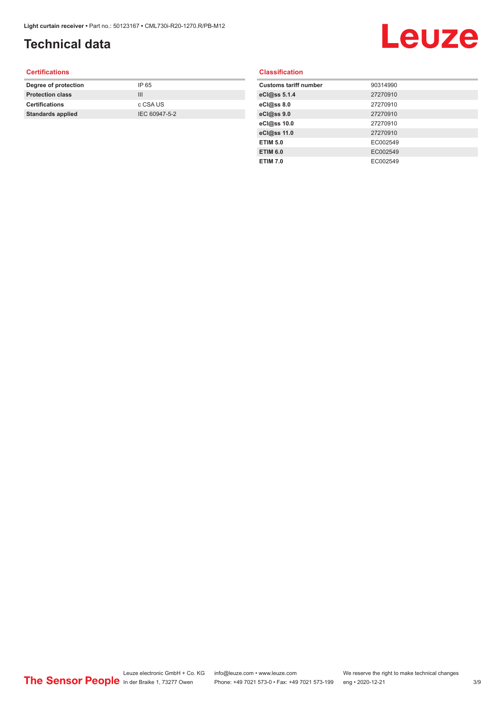## **Technical data**

# Leuze

#### **Certifications**

| Degree of protection     | IP 65         |
|--------------------------|---------------|
| <b>Protection class</b>  | Ш             |
| <b>Certifications</b>    | c CSA US      |
| <b>Standards applied</b> | IEC 60947-5-2 |
|                          |               |

#### **Classification**

| <b>Customs tariff number</b> | 90314990 |
|------------------------------|----------|
| eCl@ss 5.1.4                 | 27270910 |
| eCl@ss 8.0                   | 27270910 |
| eCl@ss 9.0                   | 27270910 |
| eCl@ss 10.0                  | 27270910 |
| eCl@ss 11.0                  | 27270910 |
| <b>ETIM 5.0</b>              | EC002549 |
| <b>ETIM 6.0</b>              | EC002549 |
| <b>ETIM 7.0</b>              | EC002549 |
|                              |          |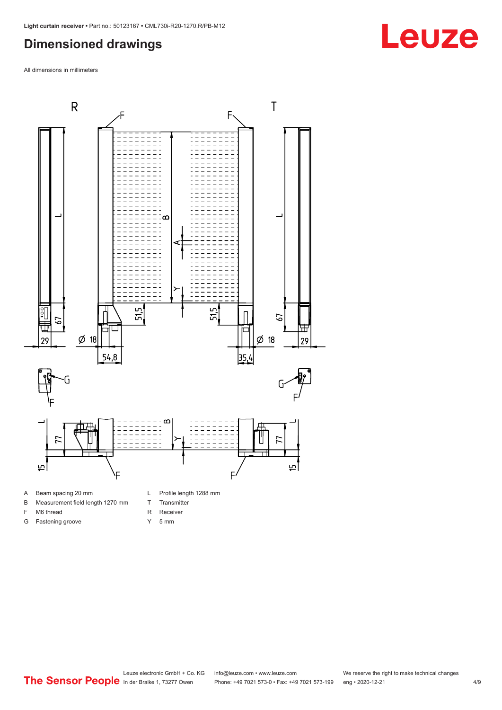#### <span id="page-3-0"></span>**Dimensioned drawings**

All dimensions in millimeters



- 
- B Measurement field length 1270 mm
- F M6 thread

G Fastening groove

- R Receiver
	- Y 5 mm

T Transmitter

Leuze electronic GmbH + Co. KG info@leuze.com • www.leuze.com We reserve the right to make technical changes<br>
The Sensor People in der Braike 1, 73277 Owen Phone: +49 7021 573-0 • Fax: +49 7021 573-199 eng • 2020-12-21 Phone: +49 7021 573-0 • Fax: +49 7021 573-199 eng • 2020-12-21 4/9

## **Leuze**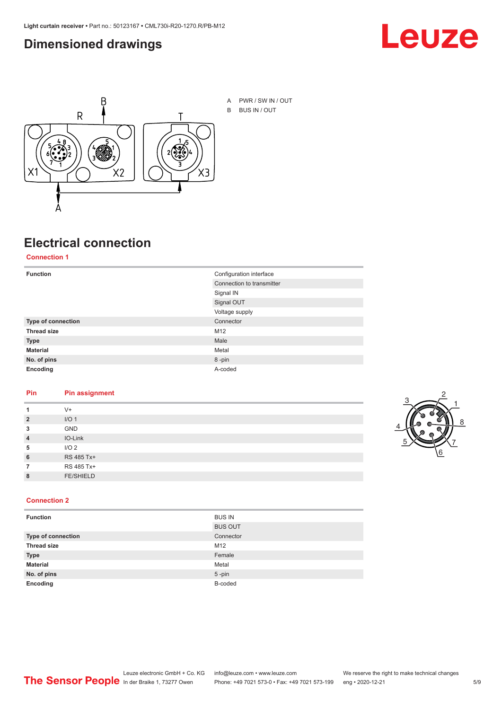#### <span id="page-4-0"></span>**Dimensioned drawings**





A PWR / SW IN / OUT B BUS IN / OUT

## **Electrical connection**

**Connection 1**

| <b>Function</b>    | Configuration interface   |
|--------------------|---------------------------|
|                    | Connection to transmitter |
|                    | Signal IN                 |
|                    | Signal OUT                |
|                    | Voltage supply            |
| Type of connection | Connector                 |
| <b>Thread size</b> | M12                       |
| <b>Type</b>        | Male                      |
| <b>Material</b>    | Metal                     |
| No. of pins        | 8-pin                     |
| Encoding           | A-coded                   |

#### **Pin Pin assignment**

|                | $V +$            |  |  |
|----------------|------------------|--|--|
| $\overline{2}$ | I/O <sub>1</sub> |  |  |
| 3              | <b>GND</b>       |  |  |
| $\overline{4}$ | IO-Link          |  |  |
| 5              | I/O <sub>2</sub> |  |  |
| 6              | RS 485 Tx+       |  |  |
|                | RS 485 Tx+       |  |  |
| 8              | <b>FE/SHIELD</b> |  |  |
|                |                  |  |  |



#### **Connection 2**

| <b>Function</b>    | <b>BUS IN</b>  |  |
|--------------------|----------------|--|
|                    | <b>BUS OUT</b> |  |
| Type of connection | Connector      |  |
| <b>Thread size</b> | M12            |  |
| <b>Type</b>        | Female         |  |
| <b>Material</b>    | Metal          |  |
| No. of pins        | $5$ -pin       |  |
| Encoding           | B-coded        |  |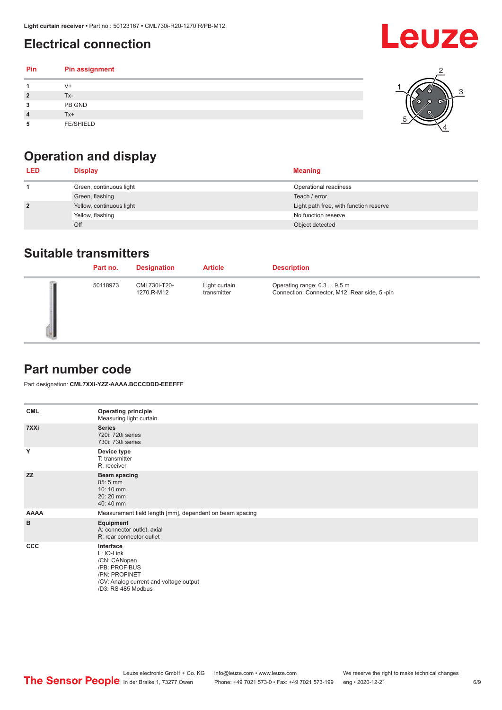## <span id="page-5-0"></span>**Electrical connection**

| Pin | Pin assignment   |  |
|-----|------------------|--|
|     | $V +$            |  |
|     | Tx-              |  |
| 3   | PB GND           |  |
|     | $Tx+$            |  |
| 5   | <b>FE/SHIELD</b> |  |

## **Operation and display**

| <b>LED</b>     | <b>Display</b>           | <b>Meaning</b>                         |
|----------------|--------------------------|----------------------------------------|
|                | Green, continuous light  | Operational readiness                  |
|                | Green, flashing          | Teach / error                          |
| $\overline{2}$ | Yellow, continuous light | Light path free, with function reserve |
|                | Yellow, flashing         | No function reserve                    |
|                | Off                      | Object detected                        |

#### **Suitable transmitters**

| Part no. | <b>Designation</b>         | <b>Article</b>               | <b>Description</b>                                                          |
|----------|----------------------------|------------------------------|-----------------------------------------------------------------------------|
| 50118973 | CML730i-T20-<br>1270.R-M12 | Light curtain<br>transmitter | Operating range: 0.3  9.5 m<br>Connection: Connector, M12, Rear side, 5-pin |

#### **Part number code**

Part designation: **CML7XXi-YZZ-AAAA.BCCCDDD-EEEFFF**

| <b>CML</b>  | <b>Operating principle</b><br>Measuring light curtain                                                                                     |
|-------------|-------------------------------------------------------------------------------------------------------------------------------------------|
| 7XXi        | <b>Series</b><br>720i: 720i series<br>730i: 730i series                                                                                   |
| Y           | Device type<br>T: transmitter<br>R: receiver                                                                                              |
| <b>ZZ</b>   | <b>Beam spacing</b><br>$05:5$ mm<br>10:10 mm<br>20:20 mm<br>40:40 mm                                                                      |
| <b>AAAA</b> | Measurement field length [mm], dependent on beam spacing                                                                                  |
| B           | Equipment<br>A: connector outlet, axial<br>R: rear connector outlet                                                                       |
| CCC         | Interface<br>L: IO-Link<br>/CN: CANopen<br>/PB: PROFIBUS<br>/PN: PROFINET<br>/CV: Analog current and voltage output<br>/D3: RS 485 Modbus |

**Leuze**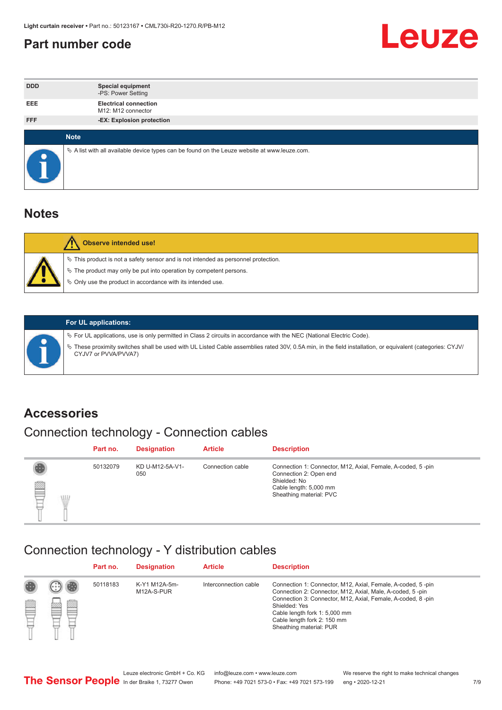#### <span id="page-6-0"></span>**Part number code**



| <b>DDD</b>  | <b>Special equipment</b><br>-PS: Power Setting                                                  |
|-------------|-------------------------------------------------------------------------------------------------|
| <b>EEE</b>  | <b>Electrical connection</b><br>M12: M12 connector                                              |
| <b>FFF</b>  | -EX: Explosion protection                                                                       |
|             |                                                                                                 |
| <b>Note</b> |                                                                                                 |
|             | $\&$ A list with all available device types can be found on the Leuze website at www.leuze.com. |

#### **Notes**

| Observe intended use!                                                                                                                                                                                                            |
|----------------------------------------------------------------------------------------------------------------------------------------------------------------------------------------------------------------------------------|
| $\%$ This product is not a safety sensor and is not intended as personnel protection.<br>$\%$ The product may only be put into operation by competent persons.<br>$\%$ Only use the product in accordance with its intended use. |
|                                                                                                                                                                                                                                  |



#### **For UL applications:**

ª For UL applications, use is only permitted in Class 2 circuits in accordance with the NEC (National Electric Code). ª These proximity switches shall be used with UL Listed Cable assemblies rated 30V, 0.5A min, in the field installation, or equivalent (categories: CYJV/ CYJV7 or PVVA/PVVA7)

#### **Accessories**

### Connection technology - Connection cables

|        | Part no. | <b>Designation</b>     | <b>Article</b>   | <b>Description</b>                                                                                                                                         |
|--------|----------|------------------------|------------------|------------------------------------------------------------------------------------------------------------------------------------------------------------|
| 2<br>W | 50132079 | KD U-M12-5A-V1-<br>050 | Connection cable | Connection 1: Connector, M12, Axial, Female, A-coded, 5-pin<br>Connection 2: Open end<br>Shielded: No<br>Cable length: 5,000 mm<br>Sheathing material: PVC |

#### Connection technology - Y distribution cables

|             |   | Part no. | <b>Designation</b>          | <b>Article</b>        | <b>Description</b>                                                                                                                                                                                                                                                                                  |
|-------------|---|----------|-----------------------------|-----------------------|-----------------------------------------------------------------------------------------------------------------------------------------------------------------------------------------------------------------------------------------------------------------------------------------------------|
| 圔<br>⋿<br>٣ | ø | 50118183 | K-Y1 M12A-5m-<br>M12A-S-PUR | Interconnection cable | Connection 1: Connector, M12, Axial, Female, A-coded, 5-pin<br>Connection 2: Connector, M12, Axial, Male, A-coded, 5-pin<br>Connection 3: Connector, M12, Axial, Female, A-coded, 8-pin<br>Shielded: Yes<br>Cable length fork 1: 5,000 mm<br>Cable length fork 2: 150 mm<br>Sheathing material: PUR |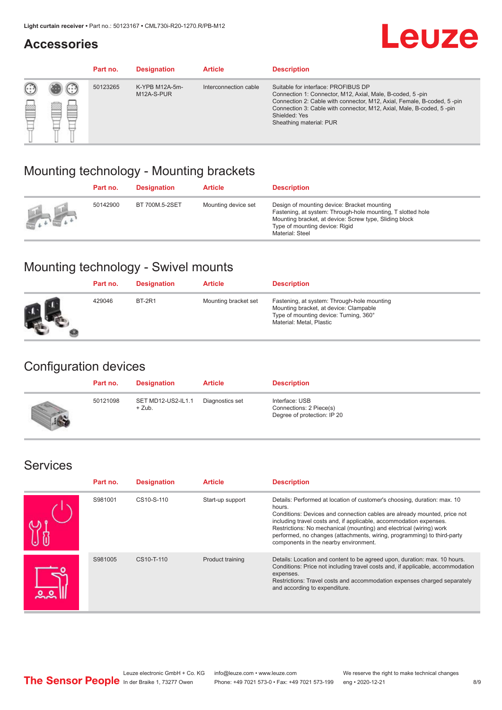#### **Accessories**

## **Leuze**

|   |                  | Part no. | <b>Designation</b>           | <b>Article</b>        | <b>Description</b>                                                                                                                                                                                                                                                                             |
|---|------------------|----------|------------------------------|-----------------------|------------------------------------------------------------------------------------------------------------------------------------------------------------------------------------------------------------------------------------------------------------------------------------------------|
| œ | œ<br><b>COLL</b> | 50123265 | K-YPB M12A-5m-<br>M12A-S-PUR | Interconnection cable | Suitable for interface: PROFIBUS DP<br>Connection 1: Connector, M12, Axial, Male, B-coded, 5-pin<br>Connection 2: Cable with connector, M12, Axial, Female, B-coded, 5-pin<br>Connection 3: Cable with connector, M12, Axial, Male, B-coded, 5-pin<br>Shielded: Yes<br>Sheathing material: PUR |

#### Mounting technology - Mounting brackets

|               | Part no. | <b>Designation</b> | <b>Article</b>      | <b>Description</b>                                                                                                                                                                                                        |
|---------------|----------|--------------------|---------------------|---------------------------------------------------------------------------------------------------------------------------------------------------------------------------------------------------------------------------|
| $\frac{1}{2}$ | 50142900 | BT 700M.5-2SET     | Mounting device set | Design of mounting device: Bracket mounting<br>Fastening, at system: Through-hole mounting, T slotted hole<br>Mounting bracket, at device: Screw type, Sliding block<br>Type of mounting device: Rigid<br>Material: Steel |

### Mounting technology - Swivel mounts

| Part no. | <b>Designation</b> | <b>Article</b>       | <b>Description</b>                                                                                                                                          |
|----------|--------------------|----------------------|-------------------------------------------------------------------------------------------------------------------------------------------------------------|
| 429046   | <b>BT-2R1</b>      | Mounting bracket set | Fastening, at system: Through-hole mounting<br>Mounting bracket, at device: Clampable<br>Type of mounting device: Turning, 360°<br>Material: Metal, Plastic |

#### Configuration devices

| Part no. | <b>Designation</b>             | <b>Article</b>  | <b>Description</b>                                                       |
|----------|--------------------------------|-----------------|--------------------------------------------------------------------------|
| 50121098 | SET MD12-US2-IL1.1<br>$+$ Zub. | Diagnostics set | Interface: USB<br>Connections: 2 Piece(s)<br>Degree of protection: IP 20 |

#### Services

| Part no. | <b>Designation</b> | <b>Article</b>   | <b>Description</b>                                                                                                                                                                                                                                                                                                                                                                                                              |
|----------|--------------------|------------------|---------------------------------------------------------------------------------------------------------------------------------------------------------------------------------------------------------------------------------------------------------------------------------------------------------------------------------------------------------------------------------------------------------------------------------|
| S981001  | CS10-S-110         | Start-up support | Details: Performed at location of customer's choosing, duration: max. 10<br>hours.<br>Conditions: Devices and connection cables are already mounted, price not<br>including travel costs and, if applicable, accommodation expenses.<br>Restrictions: No mechanical (mounting) and electrical (wiring) work<br>performed, no changes (attachments, wiring, programming) to third-party<br>components in the nearby environment. |
| S981005  | CS10-T-110         | Product training | Details: Location and content to be agreed upon, duration: max. 10 hours.<br>Conditions: Price not including travel costs and, if applicable, accommodation<br>expenses.<br>Restrictions: Travel costs and accommodation expenses charged separately<br>and according to expenditure.                                                                                                                                           |